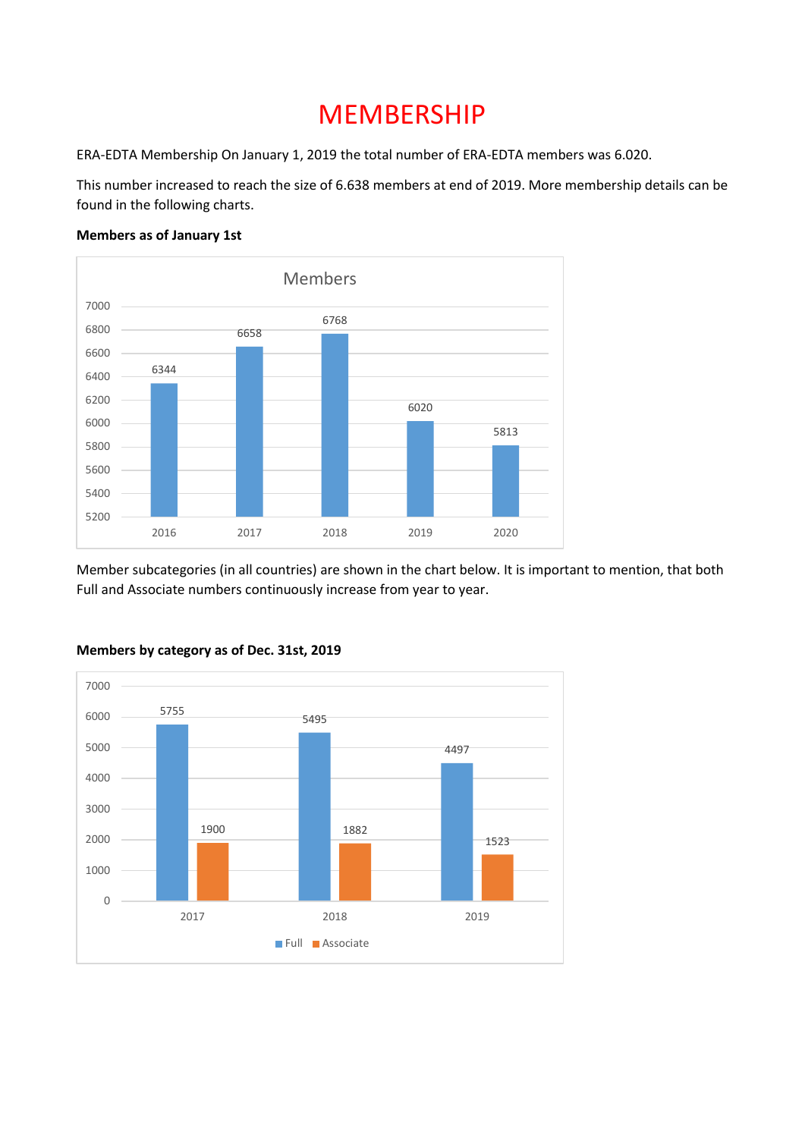# **MEMBERSHIP**

ERA-EDTA Membership On January 1, 2019 the total number of ERA-EDTA members was 6.020.

This number increased to reach the size of 6.638 members at end of 2019. More membership details can be found in the following charts.



## **Members as of January 1st**

Member subcategories (in all countries) are shown in the chart below. It is important to mention, that both Full and Associate numbers continuously increase from year to year.



### **Members by category as of Dec. 31st, 2019**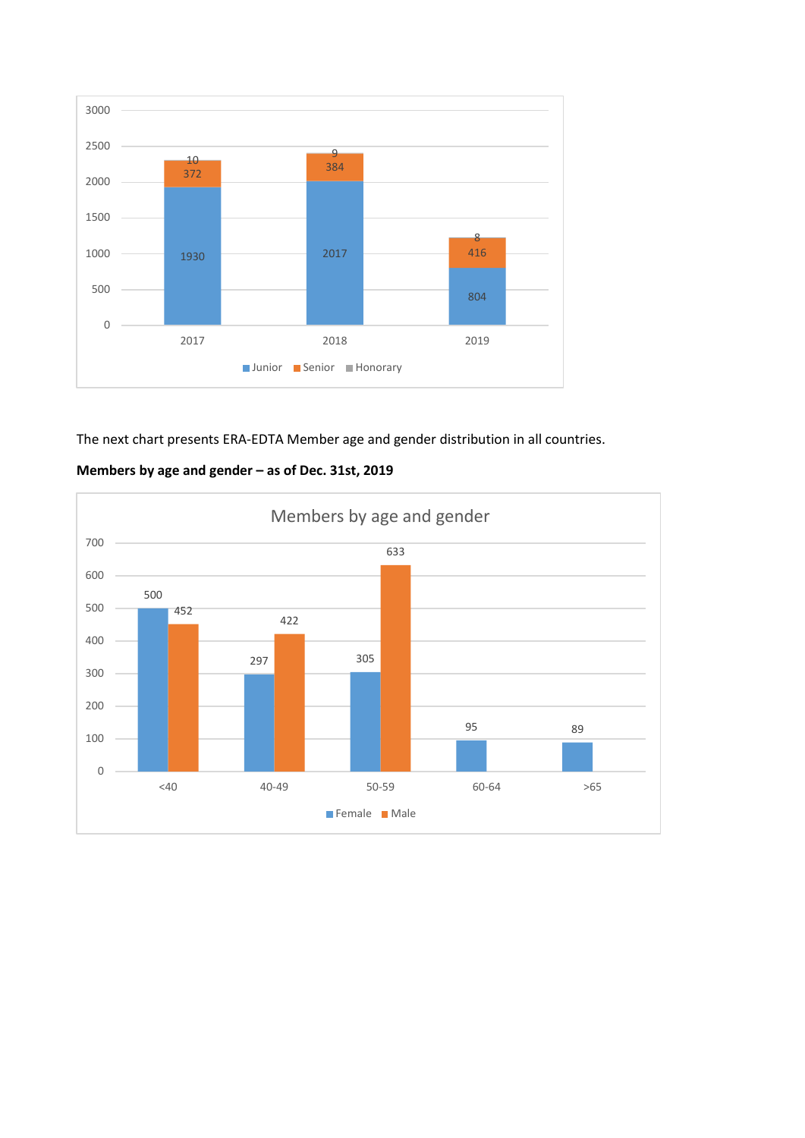

The next chart presents ERA-EDTA Member age and gender distribution in all countries.



**Members by age and gender – as of Dec. 31st, 2019**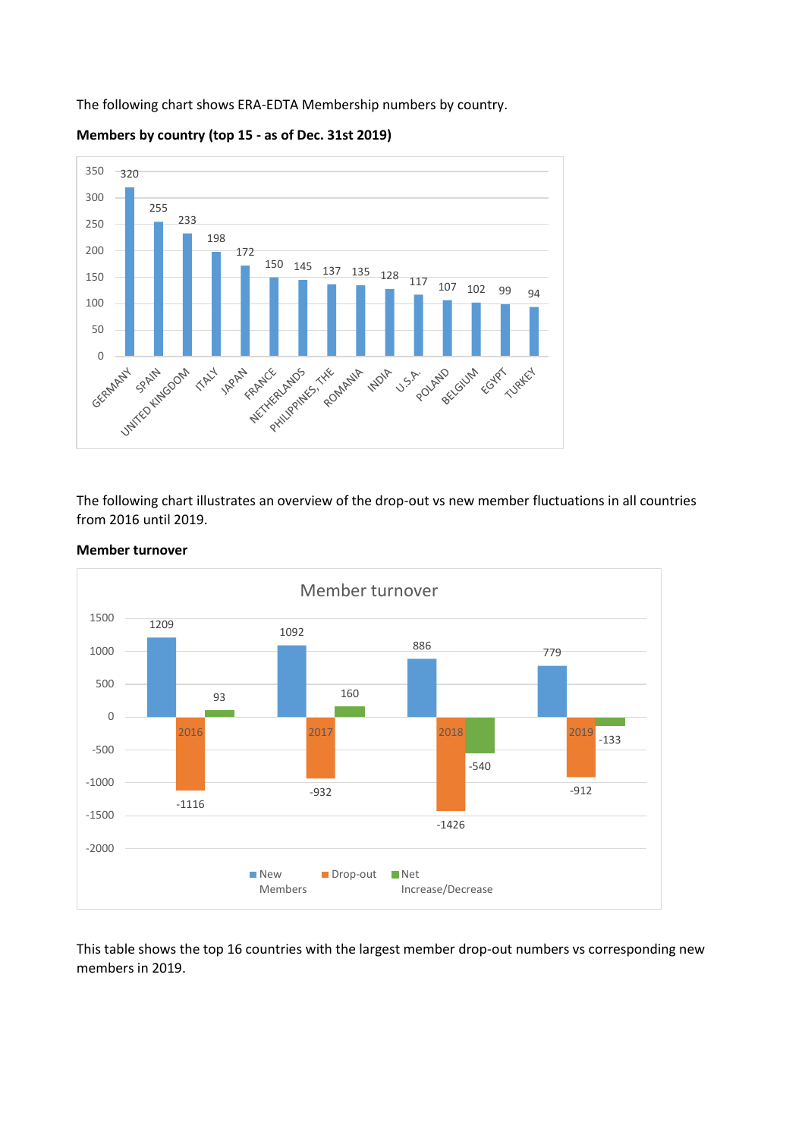The following chart shows ERA-EDTA Membership numbers by country.



**Members by country (top 15 - as of Dec. 31st 2019)**

The following chart illustrates an overview of the drop-out vs new member fluctuations in all countries from 2016 until 2019.



#### **Member turnover**

This table shows the top 16 countries with the largest member drop-out numbers vs corresponding new members in 2019.